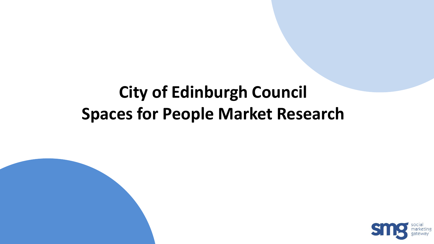## **City of Edinburgh Council Spaces for People Market Research**

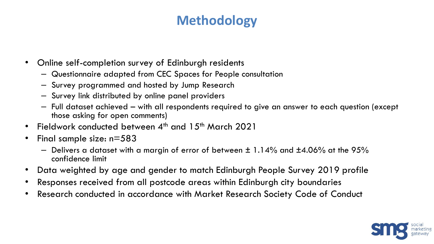### **Methodology**

- Online self-completion survey of Edinburgh residents
	- Questionnaire adapted from CEC Spaces for People consultation
	- Survey programmed and hosted by Jump Research
	- Survey link distributed by online panel providers
	- Full dataset achieved with all respondents required to give an answer to each question (except those asking for open comments)
- Fieldwork conducted between  $4^{\text{th}}$  and  $15^{\text{th}}$  March 2021
- Final sample size: n=583
	- $-$  Delivers a dataset with a margin of error of between  $\pm$  1.14% and  $\pm$ 4.06% at the 95% confidence limit
- Data weighted by age and gender to match Edinburgh People Survey 2019 profile
- Responses received from all postcode areas within Edinburgh city boundaries
- Research conducted in accordance with Market Research Society Code of Conduct

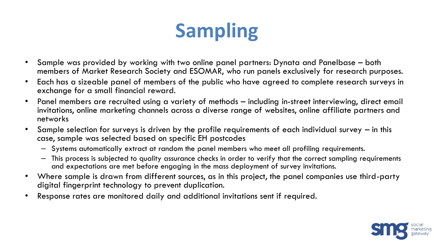# **Sampling**

- Sample was provided by working with two online panel partners: Dynata and Panelbase both members of Market Research Society and ESOMAR, who run panels exclusively for research purposes.
- Each has a sizeable panel of members of the public who have agreed to complete research surveys in exchange for a small financial reward.
- Panel members are recruited using a variety of methods including in-street interviewing, direct email invitations, online marketing channels across a diverse range of websites, online affiliate partners and networks
- Sample selection for surveys is driven by the profile requirements of each individual survey in this case, sample was selected based on specific EH postcodes
	- Systems automatically extract at random the panel members who meet all profiling requirements.
	- This process is subjected to quality assurance checks in order to verify that the correct sampling requirements and expectations are met before engaging in the mass deployment of survey invitations.
- Where sample is drawn from different sources, as in this project, the panel companies use third-party digital fingerprint technology to prevent duplication.
- Response rates are monitored daily and additional invitations sent if required.

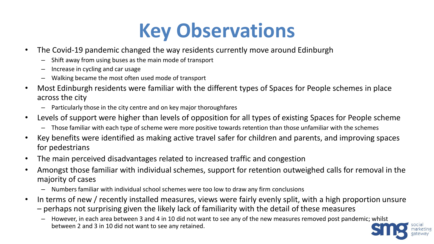# **Key Observations**

- The Covid-19 pandemic changed the way residents currently move around Edinburgh
	- Shift away from using buses as the main mode of transport
	- Increase in cycling and car usage
	- Walking became the most often used mode of transport
- Most Edinburgh residents were familiar with the different types of Spaces for People schemes in place across the city
	- Particularly those in the city centre and on key major thoroughfares
- Levels of support were higher than levels of opposition for all types of existing Spaces for People scheme
	- Those familiar with each type of scheme were more positive towards retention than those unfamiliar with the schemes
- Key benefits were identified as making active travel safer for children and parents, and improving spaces for pedestrians
- The main perceived disadvantages related to increased traffic and congestion
- Amongst those familiar with individual schemes, support for retention outweighed calls for removal in the majority of cases
	- Numbers familiar with individual school schemes were too low to draw any firm conclusions
- In terms of new / recently installed measures, views were fairly evenly split, with a high proportion unsure
	- perhaps not surprising given the likely lack of familiarity with the detail of these measures
		- However, in each area between 3 and 4 in 10 did not want to see any of the new measures removed post pandemic; whilst between 2 and 3 in 10 did not want to see any retained.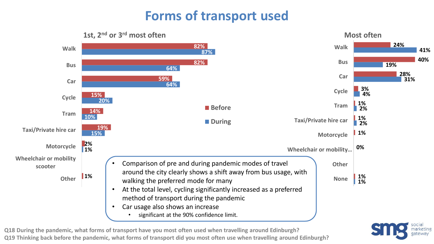### **Forms of transport used**



**Q18 During the pandemic, what forms of transport have you most often used when travelling around Edinburgh? Q19 Thinking back before the pandemic, what forms of transport did you most often use when travelling around Edinburgh?**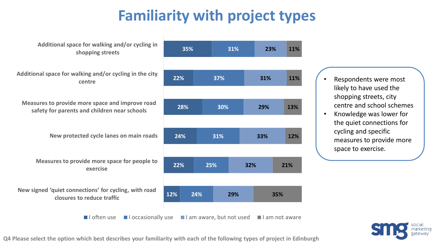### **Familiarity with project types**



**Q4 Please select the option which best describes your familiarity with each of the following types of project in Edinburgh**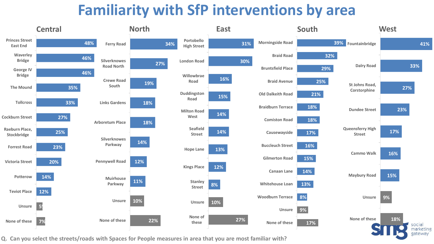### **Familiarity with SfP interventions by area**



**Q. Can you select the streets/roads with Spaces for People measures in area that you are most familiar with?**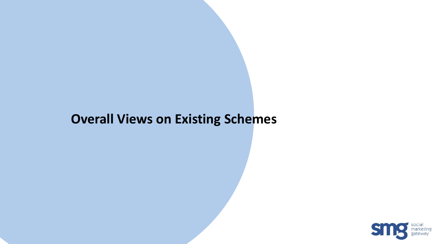### **Overall Views on Existing Schemes**

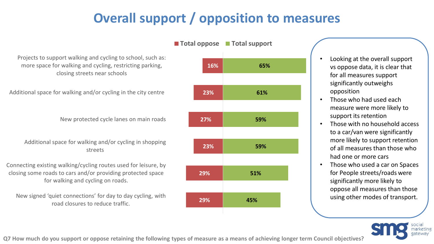### **Overall support / opposition to measures**

**29% 29% 23% 27% 23% 16% 45% 51% 59% 59% 61% 65%** New signed 'quiet connections' for day to day cycling, with road closures to reduce traffic. Connecting existing walking/cycling routes used for leisure, by closing some roads to cars and/or providing protected space for walking and cycling on roads. Additional space for walking and/or cycling in shopping streets New protected cycle lanes on main roads Additional space for walking and/or cycling in the city centre Projects to support walking and cycling to school, such as: more space for walking and cycling, restricting parking, closing streets near schools **Total oppose Total support**

• Looking at the overall support vs oppose data, it is clear that for all measures support significantly outweighs opposition

- Those who had used each measure were more likely to support its retention
- Those with no household access to a car/van were significantly more likely to support retention of all measures than those who had one or more cars
- Those who used a car on Spaces for People streets/roads were significantly more likely to oppose all measures than those using other modes of transport.



**Q7 How much do you support or oppose retaining the following types of measure as a means of achieving longer term Council objectives?**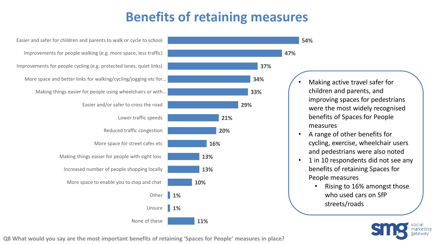### **Benefits of retaining measures**

**1% 1%** None of these Unsure **Other** More space to enable you to stop and chat Increased number of people shopping locally Making things easier for people with sight loss More space for street cafes etc Reduced traffic congestion Lower traffic speeds Easier and/or safer to cross the road Making things easier for people using wheelchairs or with… More space and better links for walking/cycling/jogging etc for… Improvements for people cycling (e.g. protected lanes, quiet links) Improvements for people walking (e.g. more space, less traffic) Easier and safer for children and parents to walk or cycle to school



• Making active travel safer for children and parents, and improving spaces for pedestrians were the most widely recognised benefits of Spaces for People measures

**47%**

**54%**

- A range of other benefits for cycling, exercise, wheelchair users and pedestrians were also noted
- 1 in 10 respondents did not see any benefits of retaining Spaces for People measures
	- Rising to 16% amongst those who used cars on SfP streets/roads



**Q8 What would you say are the most important benefits of retaining 'Spaces for People' measures in place?**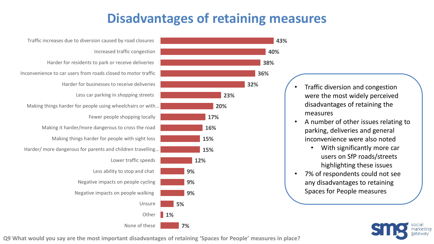### **Disadvantages of retaining measures**

**40%**

**43%**





- Traffic diversion and congestion were the most widely perceived disadvantages of retaining the measures
- A number of other issues relating to parking, deliveries and general inconvenience were also noted
	- With significantly more car users on SfP roads/streets highlighting these issues
- 7% of respondents could not see any disadvantages to retaining Spaces for People measures



**Q9 What would you say are the most important disadvantages of retaining 'Spaces for People' measures in place?**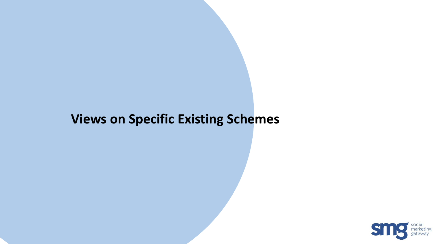#### **Views on Specific Existing Schemes**

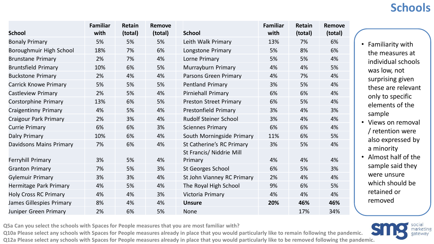#### **Schools**

|                              | <b>Familiar</b> | Retain  | <b>Remove</b> |                                     | <b>Familiar</b> | Retain  | Remove  |
|------------------------------|-----------------|---------|---------------|-------------------------------------|-----------------|---------|---------|
| <b>School</b>                | with            | (total) | (total)       | <b>School</b>                       | with            | (total) | (total) |
| <b>Bonaly Primary</b>        | 5%              | 5%      | 5%            | Leith Walk Primary                  | 13%             | 7%      | 6%      |
| Boroughmuir High School      | 18%             | 7%      | 6%            | Longstone Primary                   | 5%              | 8%      | 6%      |
| <b>Brunstane Primary</b>     | 2%              | 7%      | 4%            | Lorne Primary                       | 5%              | 5%      | 4%      |
| <b>Bruntsfield Primary</b>   | 10%             | 6%      | 5%            | Murrayburn Primary                  | 4%              | 4%      | 5%      |
| <b>Buckstone Primary</b>     | 2%              | 4%      | 4%            | Parsons Green Primary               | 4%              | 7%      | 4%      |
| <b>Carrick Knowe Primary</b> | 5%              | 5%      | 5%            | <b>Pentland Primary</b>             | 3%              | 5%      | 4%      |
| <b>Castleview Primary</b>    | 2%              | 5%      | 4%            | Pirniehall Primary                  | 6%              | 6%      | 4%      |
| <b>Corstorphine Primary</b>  | 13%             | 6%      | 5%            | <b>Preston Street Primary</b>       | 6%              | 5%      | 4%      |
| <b>Craigentinny Primary</b>  | 4%              | 5%      | 4%            | <b>Prestonfield Primary</b>         | 3%              | 4%      | 3%      |
| <b>Craigour Park Primary</b> | 2%              | 3%      | 4%            | <b>Rudolf Steiner School</b>        | 3%              | 4%      | 4%      |
| <b>Currie Primary</b>        | 6%              | 6%      | 3%            | <b>Sciennes Primary</b>             | 6%              | 6%      | 4%      |
| <b>Dalry Primary</b>         | 10%             | 6%      | 4%            | South Morningside Primary           | 11%             | 6%      | 5%      |
| Davidsons Mains Primary      | 7%              | 6%      | 4%            | St Catherine's RC Primary           | 3%              | 5%      | 4%      |
| <b>Ferryhill Primary</b>     | 3%              | 5%      | 4%            | St Francis/ Niddrie Mill<br>Primary | 4%              | 4%      | 4%      |
| <b>Granton Primary</b>       | 7%              | 5%      | 3%            | <b>St Georges School</b>            | 6%              | 5%      | 3%      |
| <b>Gylemuir Primary</b>      | 3%              | 3%      | 4%            | St John Vianney RC Primary          | 2%              | 4%      | 4%      |
| Hermitage Park Primary       | 4%              | 5%      | 4%            | The Royal High School               | 9%              | 6%      | 5%      |
| <b>Holy Cross RC Primary</b> | 4%              | 4%      | 3%            | Victoria Primary                    | 4%              | 4%      | 4%      |
| James Gillespies Primary     | 8%              | 4%      | 4%            | <b>Unsure</b>                       | 20%             | 46%     | 46%     |
| Juniper Green Primary        | 2%              | 6%      | 5%            | <b>None</b>                         |                 | 17%     | 34%     |

**Q5a Can you select the schools with Spaces for People measures that you are most familiar with?** 

**Q10a Please select any schools with Spaces for People measures already in place that you would particularly like to remain following the pandemic.**

- Familiarity with the measures at individual schools was low, not surprising given these are relevant only to specific elements of the sample • Views on removal
- / retention were also expressed by a minority
- Almost half of the sample said they were unsure which should be retained or removed

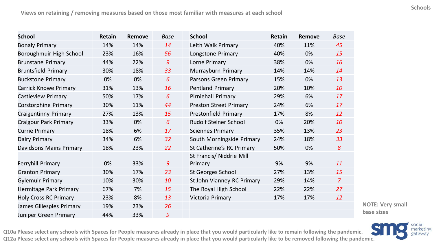| <b>School</b>                | Retain | <b>Remove</b> | <b>Base</b> | <b>School</b>                 | Retain | <b>Remove</b> | <b>Base</b>    |
|------------------------------|--------|---------------|-------------|-------------------------------|--------|---------------|----------------|
| <b>Bonaly Primary</b>        | 14%    | 14%           | 14          | Leith Walk Primary            | 40%    | 11%           | 45             |
| Boroughmuir High School      | 23%    | 16%           | 56          | Longstone Primary             | 40%    | 0%            | 15             |
| <b>Brunstane Primary</b>     | 44%    | 22%           | 9           | Lorne Primary                 | 38%    | 0%            | 16             |
| <b>Bruntsfield Primary</b>   | 30%    | 18%           | 33          | Murrayburn Primary            | 14%    | 14%           | 14             |
| <b>Buckstone Primary</b>     | 0%     | 0%            | 6           | Parsons Green Primary         | 15%    | 0%            | 13             |
| <b>Carrick Knowe Primary</b> | 31%    | 13%           | 16          | <b>Pentland Primary</b>       | 20%    | 10%           | 10             |
| <b>Castleview Primary</b>    | 50%    | 17%           | 6           | Pirniehall Primary            | 29%    | 6%            | 17             |
| <b>Corstorphine Primary</b>  | 30%    | 11%           | 44          | <b>Preston Street Primary</b> | 24%    | 6%            | 17             |
| <b>Craigentinny Primary</b>  | 27%    | 13%           | 15          | <b>Prestonfield Primary</b>   | 17%    | 8%            | 12             |
| Craigour Park Primary        | 33%    | 0%            | 6           | <b>Rudolf Steiner School</b>  | 0%     | 20%           | 10             |
| <b>Currie Primary</b>        | 18%    | 6%            | 17          | <b>Sciennes Primary</b>       | 35%    | 13%           | 23             |
| <b>Dalry Primary</b>         | 34%    | 6%            | 32          | South Morningside Primary     | 24%    | 18%           | 33             |
| Davidsons Mains Primary      | 18%    | 23%           | 22          | St Catherine's RC Primary     | 50%    | 0%            | 8              |
|                              |        |               |             | St Francis/ Niddrie Mill      |        |               |                |
| <b>Ferryhill Primary</b>     | 0%     | 33%           | 9           | Primary                       | 9%     | 9%            | 11             |
| <b>Granton Primary</b>       | 30%    | 17%           | 23          | <b>St Georges School</b>      | 27%    | 13%           | 15             |
| <b>Gylemuir Primary</b>      | 10%    | 30%           | 10          | St John Vianney RC Primary    | 29%    | 14%           | $\overline{7}$ |
| Hermitage Park Primary       | 67%    | 7%            | 15          | The Royal High School         | 22%    | 22%           | 27             |
| <b>Holy Cross RC Primary</b> | 23%    | 8%            | 13          | Victoria Primary              | 17%    | 17%           | 12             |
| James Gillespies Primary     | 19%    | 23%           | 26          |                               |        |               |                |
| Juniper Green Primary        | 44%    | 33%           | 9           |                               |        |               |                |

**NOTE: Very small base sizes**



**Q10a Please select any schools with Spaces for People measures already in place that you would particularly like to remain following the pandemic.** Q10a Please select any schools with Spaces for People measures already in place that you would particularly like to remain following the pandemic.<br>Q12a Please select any schools with Spaces for People measures already in p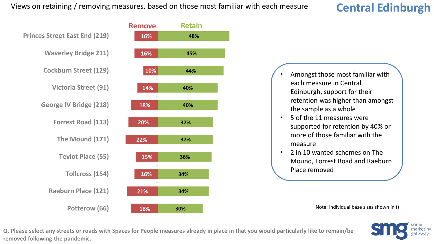#### **Central Edinburgh**



- Amongst those most familiar with each measure in Central Edinburgh, support for their retention was higher than amongst the sample as a whole
- 5 of the 11 measures were supported for retention by 40% or more of those familiar with the measure
- 2 in 10 wanted schemes on The Mound, Forrest Road and Raeburn Place removed

Note: individual base sizes shown in ()

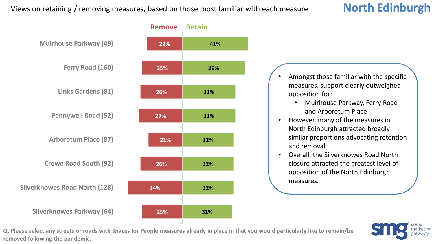

- Amongst those familiar with the specific measures, support clearly outweighed opposition for:
	- Muirhouse Parkway, Ferry Road and Arboretum Place
- However, many of the measures in North Edinburgh attracted broadly similar proportions advocating retention and removal
- Overall, the Silverknowes Road North closure attracted the greatest level of opposition of the North Edinburgh measures.

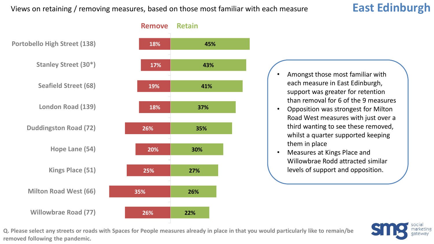#### **East Edinburgh**



- Amongst those most familiar with each measure in East Edinburgh, support was greater for retention than removal for 6 of the 9 measures
- Opposition was strongest for Milton Road West measures with just over a third wanting to see these removed, whilst a quarter supported keeping them in place
- Measures at Kings Place and Willowbrae Rodd attracted similar levels of support and opposition.

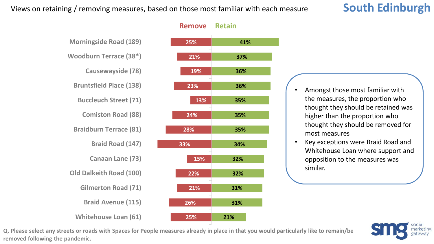#### **South Edinburgh**





- Amongst those most familiar with the measures, the proportion who thought they should be retained was higher than the proportion who thought they should be removed for most measures
- Key exceptions were Braid Road and Whitehouse Loan where support and opposition to the measures was similar.

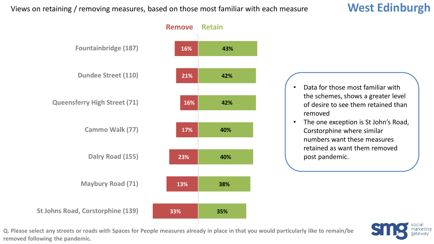#### **West Edinburgh**

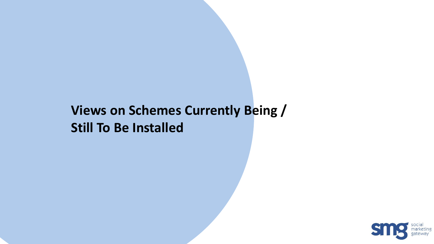### **Views on Schemes Currently Being / Still To Be Installed**

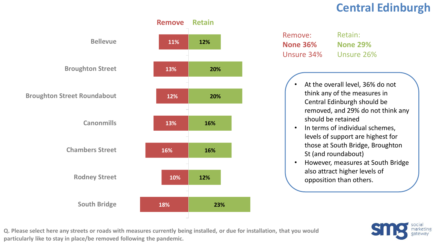#### **Central Edinburgh**



| Remove:         | Retain:         |
|-----------------|-----------------|
| <b>None 36%</b> | <b>None 29%</b> |
| Unsure 34%      | Unsure 26%      |

- At the overall level, 36% do not think any of the measures in Central Edinburgh should be removed, and 29% do not think any should be retained
- In terms of individual schemes, levels of support are highest for those at South Bridge, Broughton St (and roundabout)
- However, measures at South Bridge also attract higher levels of opposition than others.



**Q. Please select here any streets or roads with measures currently being installed, or due for installation, that you would particularly like to stay in place/be removed following the pandemic.**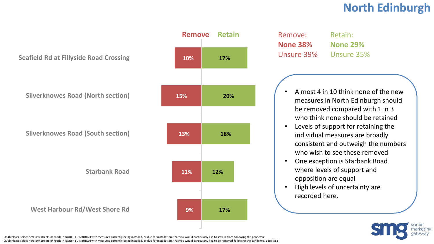#### **North Edinburgh**

**Seafield Rd at Fillyside Road Crossing**

**Silverknowes Road (North section)**

**Silverknowes Road (South section)**

**Starbank Road**

**West Harbour Rd/West Shore Rd**



| Remove:         | Retain:         |
|-----------------|-----------------|
| <b>None 38%</b> | <b>None 29%</b> |
| Unsure 39%      | Unsure 35%      |

- Almost 4 in 10 think none of the new measures in North Edinburgh should be removed compared with 1 in 3 who think none should be retained
- Levels of support for retaining the individual measures are broadly consistent and outweigh the numbers who wish to see these removed
- One exception is Starbank Road where levels of support and opposition are equal
- High levels of uncertainty are recorded here.



Q14b Please select here any streets or roads in NORTH EDINBURGH with measures currently being installed, or due for installation, that you would particularly like to stay in place following the pandemic. Q16b Please select here any streets or roads in NORTH EDINBURGH with measures currently being installed, or due for installation, that you would particularly like to be removed following the pandemic. Base: 583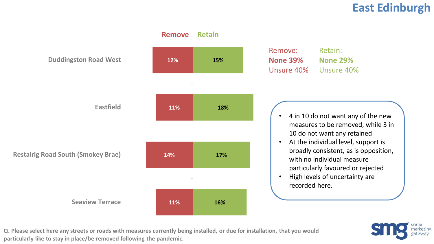#### **East Edinburgh**



**Q. Please select here any streets or roads with measures currently being installed, or due for installation, that you would particularly like to stay in place/be removed following the pandemic.** 

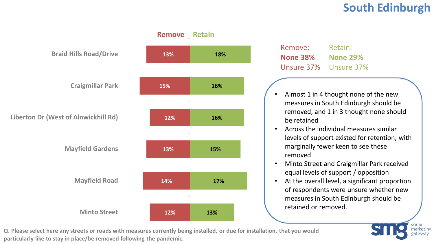#### **South Edinburgh**

**narketing** 



Remove: **None 38%** Unsure 37% Unsure 37% Retain: **None 29%**

- Almost 1 in 4 thought none of the new measures in South Edinburgh should be removed, and 1 in 3 thought none should be retained
- Across the individual measures similar levels of support existed for retention, with marginally fewer keen to see these removed
- Minto Street and Craigmillar Park received equal levels of support / opposition
- At the overall level, a significant proportion of respondents were unsure whether new measures in South Edinburgh should be retained or removed.